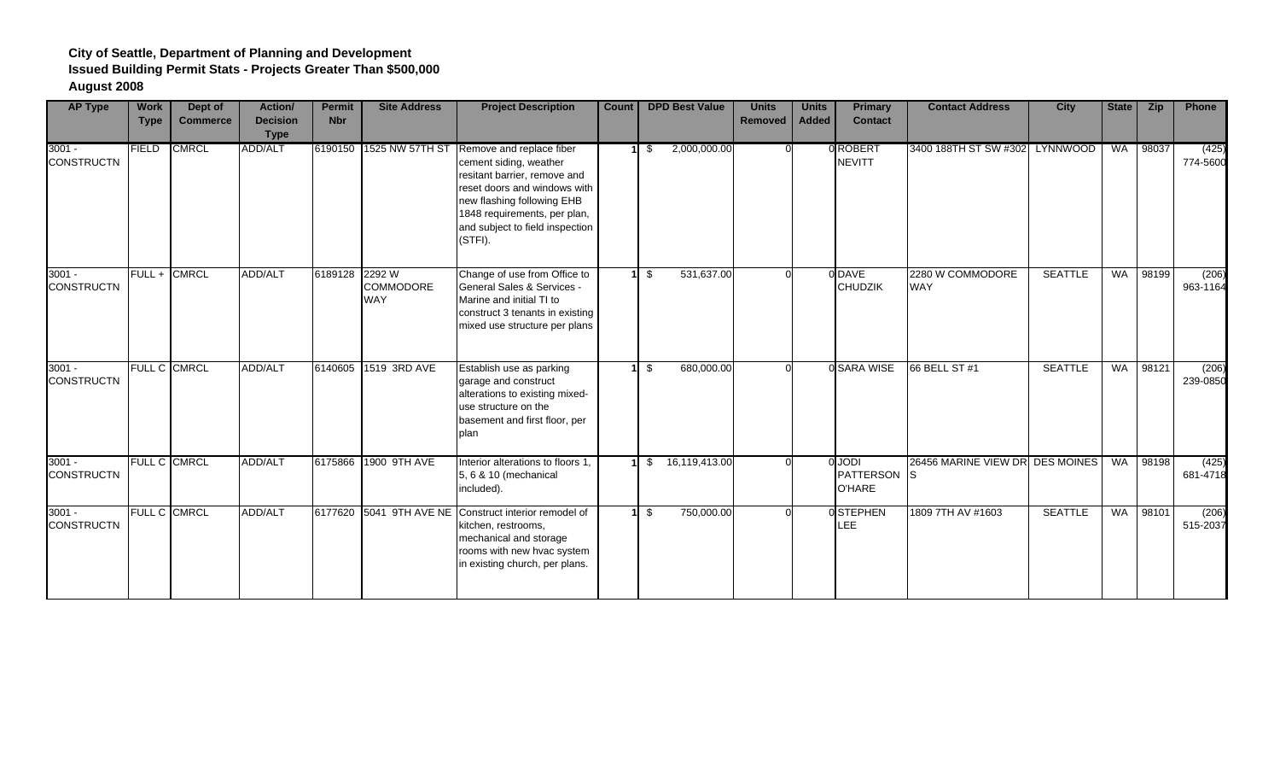| <b>AP Type</b>                | <b>Work</b><br><b>Type</b> | Dept of<br><b>Commerce</b> | <b>Action/</b><br><b>Decision</b><br><b>Type</b> | <b>Permit</b><br><b>Nbr</b> | <b>Site Address</b>            | <b>Project Description</b>                                                                                                                                                                                                     | Count | <b>DPD Best Value</b>                   | <b>Units</b><br>Removed | <b>Units</b><br><b>Added</b> | <b>Primary</b><br><b>Contact</b>                   | <b>Contact Address</b>          | <b>City</b>    | <b>State</b> | <b>Zip</b> | Phone             |
|-------------------------------|----------------------------|----------------------------|--------------------------------------------------|-----------------------------|--------------------------------|--------------------------------------------------------------------------------------------------------------------------------------------------------------------------------------------------------------------------------|-------|-----------------------------------------|-------------------------|------------------------------|----------------------------------------------------|---------------------------------|----------------|--------------|------------|-------------------|
| $3001 -$<br><b>CONSTRUCTN</b> | FIELD                      | <b>CMRCL</b>               | ADD/ALT                                          |                             | 6190150 1525 NW 57TH ST        | Remove and replace fiber<br>cement siding, weather<br>resitant barrier, remove and<br>reset doors and windows with<br>new flashing following EHB<br>1848 requirements, per plan,<br>and subject to field inspection<br>(STFI). |       | 2,000,000.00<br>$1 \overline{\text{S}}$ |                         |                              | 0 ROBERT<br><b>NEVITT</b>                          | 3400 188TH ST SW #302 LYNNWOOD  |                | <b>WA</b>    | 98037      | (425)<br>774-5600 |
| $3001 -$<br><b>CONSTRUCTN</b> | FULL+                      | <b>CMRCL</b>               | <b>ADD/ALT</b>                                   | 6189128 2292 W              | <b>COMMODORE</b><br><b>WAY</b> | Change of use from Office to<br>General Sales & Services -<br>Marine and initial TI to<br>construct 3 tenants in existing<br>mixed use structure per plans                                                                     |       | 531,637.00<br>-\$                       |                         |                              | 0 DAVE<br><b>CHUDZIK</b>                           | 2280 W COMMODORE<br><b>WAY</b>  | <b>SEATTLE</b> | <b>WA</b>    | 98199      | (206)<br>963-1164 |
| $3001 -$<br><b>CONSTRUCTN</b> |                            | FULL C CMRCL               | <b>ADD/ALT</b>                                   |                             | 6140605 1519 3RD AVE           | Establish use as parking<br>garage and construct<br>alterations to existing mixed-<br>use structure on the<br>basement and first floor, per<br><b>plan</b>                                                                     |       | 680,000.00<br>-\$                       |                         |                              | 0 SARA WISE                                        | 66 BELL ST #1                   | <b>SEATTLE</b> | <b>WA</b>    | 98121      | (206)<br>239-0850 |
| $3001 -$<br><b>CONSTRUCTN</b> |                            | FULL C CMRCL               | ADD/ALT                                          | 6175866                     | 1900 9TH AVE                   | Interior alterations to floors 1.<br>5, 6 & 10 (mechanical<br>included).                                                                                                                                                       | 11    | 16,119,413.00<br>\$                     |                         |                              | <b>IGOL</b><br><b>PATTERSON</b> S<br><b>O'HARE</b> | 26456 MARINE VIEW DR DES MOINES |                | <b>WA</b>    | 98198      | (425)<br>681-4718 |
| $3001 -$<br><b>CONSTRUCTN</b> |                            | FULL C CMRCL               | ADD/ALT                                          |                             |                                | 6177620 5041 9TH AVE NE Construct interior remodel of<br>kitchen, restrooms,<br>mechanical and storage<br>rooms with new hvac system<br>in existing church, per plans.                                                         |       | 750,000.00<br>-\$                       |                         |                              | 0STEPHEN<br>LEE                                    | 1809 7TH AV #1603               | <b>SEATTLE</b> | WA           | 98101      | (206)<br>515-2037 |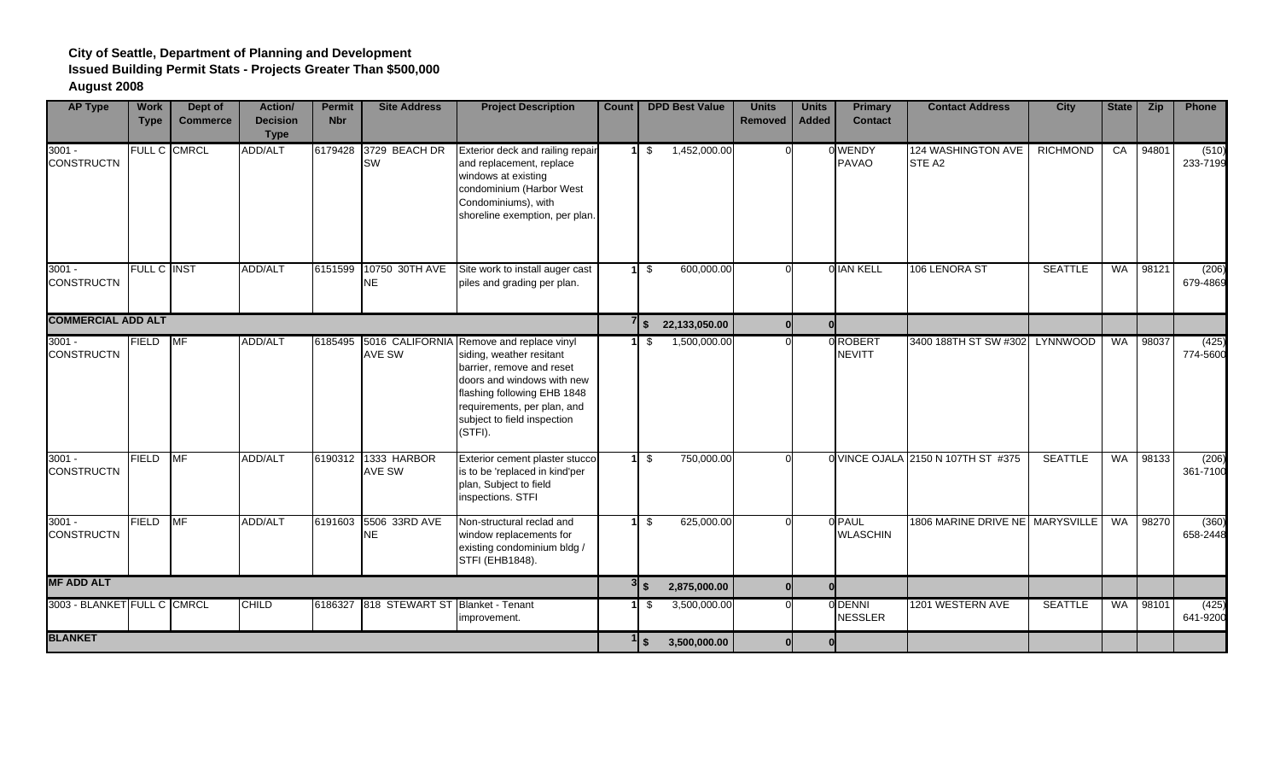| <b>AP Type</b>                | <b>Work</b><br><b>Type</b> | Dept of<br><b>Commerce</b> | Action/<br><b>Decision</b><br><b>Type</b> | <b>Permit</b><br><b>Nbr</b> | <b>Site Address</b>                  | <b>Project Description</b>                                                                                                                                                                                                              | <b>Count</b> |                | <b>DPD Best Value</b> | <b>Units</b><br><b>Removed</b> | <b>Units</b><br><b>Added</b> | <b>Primary</b><br><b>Contact</b> | <b>Contact Address</b>             | <b>City</b>     | <b>State</b> | <b>Zip</b> | Phone             |
|-------------------------------|----------------------------|----------------------------|-------------------------------------------|-----------------------------|--------------------------------------|-----------------------------------------------------------------------------------------------------------------------------------------------------------------------------------------------------------------------------------------|--------------|----------------|-----------------------|--------------------------------|------------------------------|----------------------------------|------------------------------------|-----------------|--------------|------------|-------------------|
| $3001 -$<br><b>CONSTRUCTN</b> |                            | FULL C CMRCL               | ADD/ALT                                   | 6179428                     | 3729 BEACH DR<br><b>SW</b>           | Exterior deck and railing repair<br>and replacement, replace<br>windows at existing<br>condominium (Harbor West<br>Condominiums), with<br>shoreline exemption, per plan.                                                                | 1I           | - \$           | 1,452,000.00          |                                |                              | 0 WENDY<br><b>PAVAO</b>          | 124 WASHINGTON AVE<br>STE A2       | <b>RICHMOND</b> |              | CA 94801   | (510)<br>233-7199 |
| $3001 -$<br><b>CONSTRUCTN</b> | FULL C INST                |                            | ADD/ALT                                   |                             | 6151599 10750 30TH AVE<br>NE.        | Site work to install auger cast<br>piles and grading per plan.                                                                                                                                                                          |              | $1 \text{ s}$  | 600,000.00            | ΩI                             |                              | 0 IAN KELL                       | 106 LENORA ST                      | <b>SEATTLE</b>  |              | WA 98121   | (206)<br>679-4869 |
| <b>COMMERCIAL ADD ALT</b>     |                            |                            |                                           |                             |                                      |                                                                                                                                                                                                                                         |              | 7s             | 22,133,050.00         |                                | $\Omega$                     |                                  |                                    |                 |              |            |                   |
| $3001 -$<br><b>CONSTRUCTN</b> | FIELD                      | <b>MF</b>                  | <b>ADD/ALT</b>                            | 6185495                     | <b>AVE SW</b>                        | 5016 CALIFORNIA Remove and replace vinyl<br>siding, weather resitant<br>barrier, remove and reset<br>doors and windows with new<br>flashing following EHB 1848<br>requirements, per plan, and<br>subject to field inspection<br>(STFI). |              | $1 \text{ s}$  | 1,500,000.00          |                                |                              | 0 ROBERT<br><b>NEVITT</b>        | 3400 188TH ST SW #302 LYNNWOOD     |                 |              | WA 98037   | (425)<br>774-5600 |
| $3001 -$<br><b>CONSTRUCTN</b> | <b>FIELD</b>               | <b>MF</b>                  | ADD/ALT                                   |                             | 6190312 1333 HARBOR<br><b>AVE SW</b> | Exterior cement plaster stucco<br>is to be 'replaced in kind'per<br>plan, Subject to field<br>inspections. STFI                                                                                                                         |              | $1 \sqrt{3}$   | 750,000.00            |                                |                              |                                  | 0 VINCE OJALA 2150 N 107TH ST #375 | <b>SEATTLE</b>  | WA           | 98133      | (206)<br>361-7100 |
| $3001 -$<br><b>CONSTRUCTN</b> | <b>FIELD</b>               | <b>MF</b>                  | <b>ADD/ALT</b>                            | 6191603                     | 5506 33RD AVE<br>NE                  | Non-structural reclad and<br>window replacements for<br>existing condominium bldg /<br>STFI (EHB1848).                                                                                                                                  |              | -\$            | 625,000.00            |                                |                              | 0 PAUL<br><b>WLASCHIN</b>        | 1806 MARINE DRIVE NE MARYSVILLE    |                 | <b>WA</b>    | 98270      | (360)<br>658-2448 |
| <b>MF ADD ALT</b>             |                            |                            |                                           |                             |                                      |                                                                                                                                                                                                                                         |              | $3\frac{1}{2}$ | 2,875,000.00          |                                | $\Omega$                     |                                  |                                    |                 |              |            |                   |
| 3003 - BLANKET FULL C CMRCL   |                            |                            | <b>CHILD</b>                              | 6186327                     | 818 STEWART ST Blanket - Tenant      | improvement.                                                                                                                                                                                                                            |              | - \$           | 3,500,000.00          |                                |                              | 0 DENNI<br><b>NESSLER</b>        | 1201 WESTERN AVE                   | <b>SEATTLE</b>  | <b>WA</b>    | 98101      | (425)<br>641-9200 |
| <b>BLANKET</b>                |                            |                            |                                           |                             |                                      |                                                                                                                                                                                                                                         |              | $1\vert s$     | 3,500,000.00          |                                |                              |                                  |                                    |                 |              |            |                   |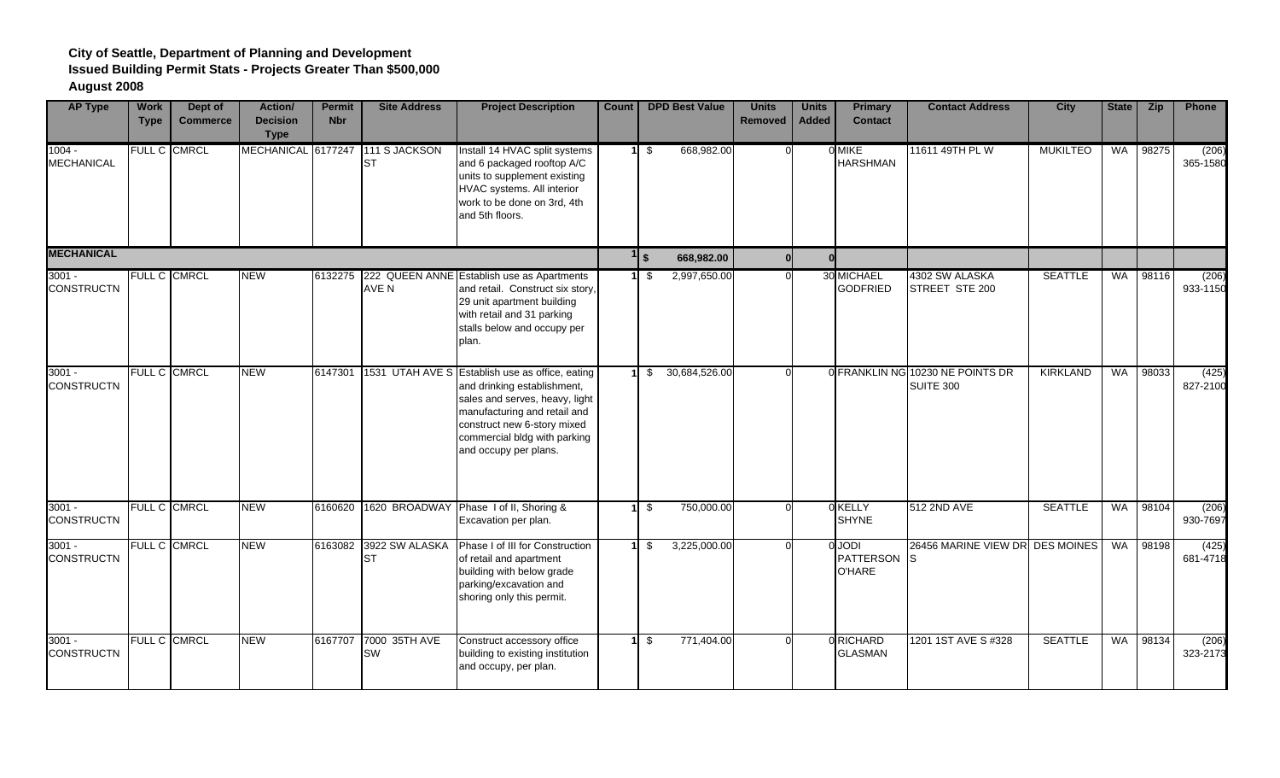| <b>AP Type</b>                | <b>Work</b><br><b>Type</b> | Dept of<br><b>Commerce</b> | <b>Action</b> /<br><b>Decision</b><br><b>Type</b> | <b>Permit</b><br><b>Nbr</b> | <b>Site Address</b>         | <b>Project Description</b>                                                                                                                                                                                                               | <b>Count</b> |                 | <b>DPD Best Value</b> | <b>Units</b><br><b>Removed</b> | <b>Units</b><br><b>Added</b> | <b>Primary</b><br><b>Contact</b>              | <b>Contact Address</b>                        | <b>City</b>     | <b>State</b> | Zip   | Phone             |
|-------------------------------|----------------------------|----------------------------|---------------------------------------------------|-----------------------------|-----------------------------|------------------------------------------------------------------------------------------------------------------------------------------------------------------------------------------------------------------------------------------|--------------|-----------------|-----------------------|--------------------------------|------------------------------|-----------------------------------------------|-----------------------------------------------|-----------------|--------------|-------|-------------------|
| $1004 -$<br><b>MECHANICAL</b> |                            | FULL C CMRCL               | MECHANICAL 6177247                                |                             | 111 S JACKSON<br><b>ST</b>  | Install 14 HVAC split systems<br>and 6 packaged rooftop A/C<br>units to supplement existing<br>HVAC systems. All interior<br>work to be done on 3rd, 4th<br>and 5th floors.                                                              |              | $11 \text{ }$   | 668,982.00            |                                |                              | 0 MIKE<br><b>HARSHMAN</b>                     | 11611 49TH PL W                               | <b>MUKILTEO</b> | <b>WA</b>    | 98275 | (206)<br>365-1580 |
| <b>MECHANICAL</b>             |                            |                            |                                                   |                             |                             |                                                                                                                                                                                                                                          |              | $1\vert s$      | 668,982.00            |                                | $\mathbf{0}$                 |                                               |                                               |                 |              |       |                   |
| $3001 -$<br><b>CONSTRUCTN</b> |                            | FULL C CMRCL               | <b>NEW</b>                                        | 6132275                     | AVE N                       | 222 QUEEN ANNE Establish use as Apartments<br>and retail. Construct six story,<br>29 unit apartment building<br>with retail and 31 parking<br>stalls below and occupy per<br>plan.                                                       |              | $1 \text{ }$ \$ | 2,997,650.00          |                                |                              | 30 MICHAEL<br><b>GODFRIED</b>                 | 4302 SW ALASKA<br>STREET STE 200              | <b>SEATTLE</b>  | WA           | 98116 | (206)<br>933-1150 |
| $3001 -$<br><b>CONSTRUCTN</b> |                            | FULL C CMRCL               | <b>NEW</b>                                        | 6147301                     |                             | 1531 UTAH AVE S Establish use as office, eating<br>and drinking establishment,<br>sales and serves, heavy, light<br>manufacturing and retail and<br>construct new 6-story mixed<br>commercial bldg with parking<br>and occupy per plans. |              | \$              | 30,684,526.00         |                                |                              |                                               | 0 FRANKLIN NG 10230 NE POINTS DR<br>SUITE 300 | <b>KIRKLAND</b> | <b>WA</b>    | 98033 | (425)<br>827-2100 |
| $3001 -$<br><b>CONSTRUCTN</b> | FULL C CMRCL               |                            | <b>NEW</b>                                        | 6160620                     |                             | 1620 BROADWAY Phase I of II, Shoring &<br>Excavation per plan.                                                                                                                                                                           |              | \$              | 750,000.00            |                                |                              | 0 KELLY<br><b>SHYNE</b>                       | 512 2ND AVE                                   | <b>SEATTLE</b>  | WA           | 98104 | (206)<br>930-7697 |
| $3001 -$<br><b>CONSTRUCTN</b> |                            | <b>FULL C CMRCL</b>        | <b>NEW</b>                                        | 6163082                     | 3922 SW ALASKA<br><b>ST</b> | Phase I of III for Construction<br>of retail and apartment<br>building with below grade<br>parking/excavation and<br>shoring only this permit.                                                                                           |              | \$              | 3,225,000.00          |                                |                              | 0 JODI<br><b>PATTERSON</b> S<br><b>O'HARE</b> | 26456 MARINE VIEW DR DES MOINES               |                 | <b>WA</b>    | 98198 | (425)<br>681-4718 |
| $3001 -$<br><b>CONSTRUCTN</b> |                            | FULL C CMRCL               | <b>NEW</b>                                        | 6167707                     | 7000 35TH AVE<br><b>SW</b>  | Construct accessory office<br>building to existing institution<br>and occupy, per plan.                                                                                                                                                  |              | $1 \text{ }$ \$ | 771,404.00            |                                |                              | 0 RICHARD<br><b>GLASMAN</b>                   | 1201 1ST AVE S #328                           | <b>SEATTLE</b>  | WA           | 98134 | (206)<br>323-2173 |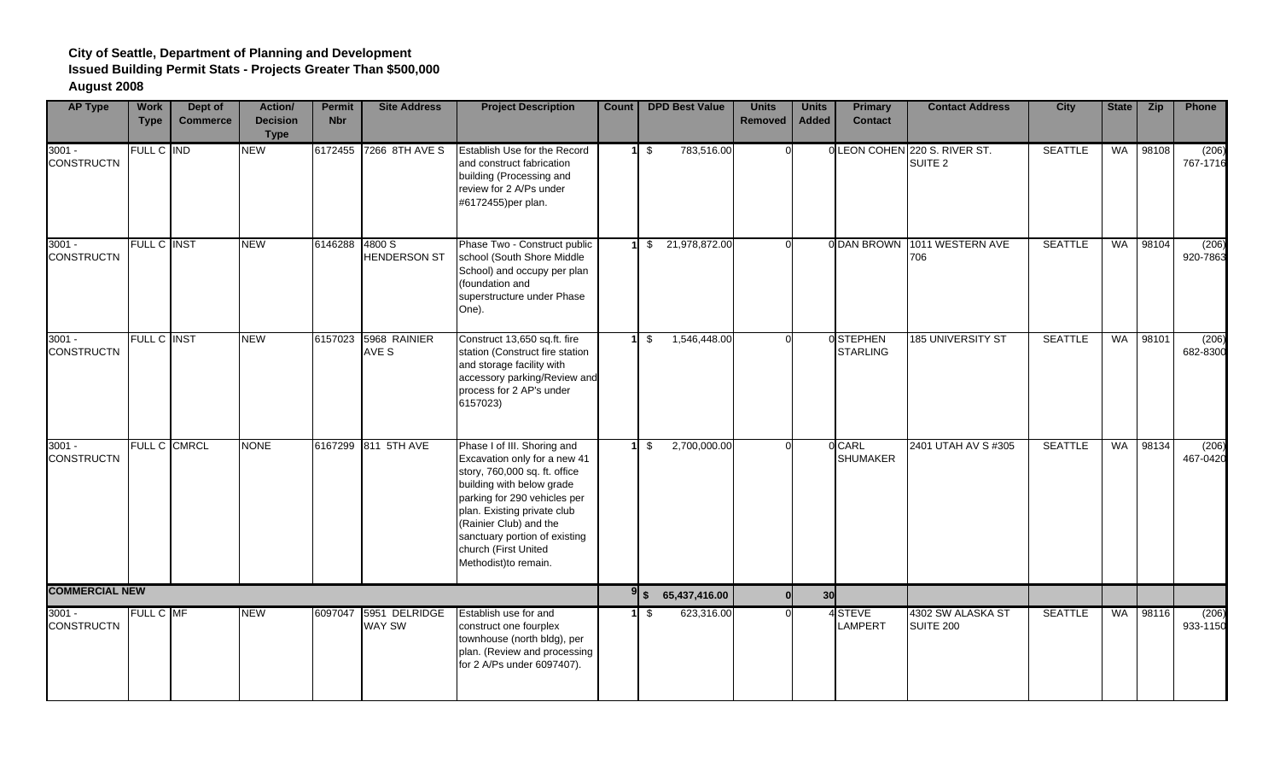| <b>AP Type</b>                | <b>Work</b><br><b>Type</b> | Dept of<br><b>Commerce</b> | Action/<br><b>Decision</b><br><b>Type</b> | <b>Permit</b><br><b>Nbr</b> | <b>Site Address</b>                    | <b>Project Description</b>                                                                                                                                                                                                                                                                          | Count |      | <b>DPD Best Value</b> | <b>Units</b><br><b>Removed</b> | <b>Units</b><br><b>Added</b> | <b>Primary</b><br><b>Contact</b> | <b>Contact Address</b>                              | <b>City</b>    | <b>State</b> | Zip      | Phone             |
|-------------------------------|----------------------------|----------------------------|-------------------------------------------|-----------------------------|----------------------------------------|-----------------------------------------------------------------------------------------------------------------------------------------------------------------------------------------------------------------------------------------------------------------------------------------------------|-------|------|-----------------------|--------------------------------|------------------------------|----------------------------------|-----------------------------------------------------|----------------|--------------|----------|-------------------|
| $3001 -$<br><b>CONSTRUCTN</b> | FULL C IND                 |                            | <b>NEW</b>                                |                             | 6172455 7266 8TH AVE S                 | Establish Use for the Record<br>and construct fabrication<br>building (Processing and<br>review for 2 A/Ps under<br>#6172455)per plan.                                                                                                                                                              |       | - \$ | 783,516.00            |                                |                              |                                  | 0 LEON COHEN 220 S. RIVER ST.<br>SUITE <sub>2</sub> | <b>SEATTLE</b> |              | WA 98108 | (206)<br>767-1716 |
| $3001 -$<br><b>CONSTRUCTN</b> | <b>FULL C INST</b>         |                            | <b>NEW</b>                                | 6146288 4800 S              | <b>HENDERSON ST</b>                    | Phase Two - Construct public<br>school (South Shore Middle<br>School) and occupy per plan<br>(foundation and<br>superstructure under Phase<br>One).                                                                                                                                                 |       | \$   | 21,978,872.00         |                                |                              | 0 DAN BROWN                      | 1011 WESTERN AVE<br>706                             | <b>SEATTLE</b> | <b>WA</b>    | 98104    | (206)<br>920-7863 |
| $3001 -$<br><b>CONSTRUCTN</b> | <b>FULL C INST</b>         |                            | <b>NEW</b>                                |                             | 6157023 5968 RAINIER<br>AVE S          | Construct 13,650 sq.ft. fire<br>station (Construct fire station<br>and storage facility with<br>accessory parking/Review and<br>process for 2 AP's under<br>6157023)                                                                                                                                |       | -\$  | 1,546,448.00          |                                |                              | 0 STEPHEN<br><b>STARLING</b>     | 185 UNIVERSITY ST                                   | <b>SEATTLE</b> | WA           | 98101    | (206)<br>682-8300 |
| $3001 -$<br><b>CONSTRUCTN</b> |                            | FULL C CMRCL               | <b>NONE</b>                               |                             | 6167299 811 5TH AVE                    | Phase I of III. Shoring and<br>Excavation only for a new 41<br>story, 760,000 sq. ft. office<br>building with below grade<br>parking for 290 vehicles per<br>plan. Existing private club<br>(Rainier Club) and the<br>sanctuary portion of existing<br>church (First United<br>Methodist)to remain. |       | - \$ | 2,700,000.00          |                                |                              | 0 CARL<br><b>SHUMAKER</b>        | 2401 UTAH AV S #305                                 | <b>SEATTLE</b> | <b>WA</b>    | 98134    | (206)<br>467-0420 |
| <b>COMMERCIAL NEW</b>         |                            |                            |                                           |                             |                                        |                                                                                                                                                                                                                                                                                                     |       | 9s   | 65,437,416.00         |                                | 30                           |                                  |                                                     |                |              |          |                   |
| $3001 -$<br><b>CONSTRUCTN</b> | <b>FULL C MF</b>           |                            | <b>NEW</b>                                |                             | 6097047 5951 DELRIDGE<br><b>WAY SW</b> | Establish use for and<br>construct one fourplex<br>townhouse (north bldg), per<br>plan. (Review and processing<br>for 2 A/Ps under 6097407).                                                                                                                                                        |       | -\$  | 623,316.00            |                                |                              | 4 STEVE<br>LAMPERT               | 4302 SW ALASKA ST<br><b>SUITE 200</b>               | <b>SEATTLE</b> | <b>WA</b>    | 98116    | (206)<br>933-1150 |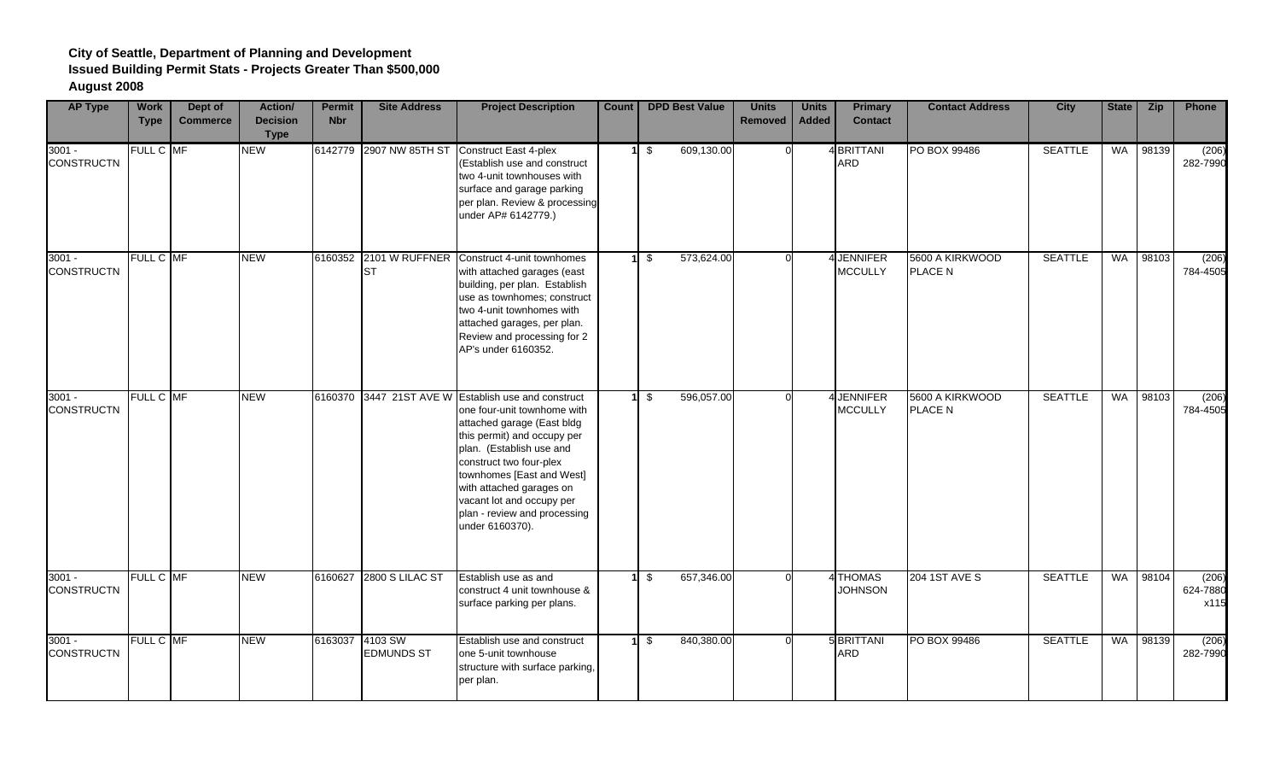| <b>AP Type</b>                | <b>Work</b><br><b>Type</b> | Dept of<br><b>Commerce</b> | <b>Action/</b><br><b>Decision</b><br><b>Type</b> | <b>Permit</b><br><b>Nbr</b> | <b>Site Address</b>          | <b>Project Description</b>                                                                                                                                                                                                                                                                                                                      | <b>Count</b> |                         | <b>DPD Best Value</b> | <b>Units</b><br><b>Removed</b> | <b>Units</b><br><b>Added</b> | <b>Primary</b><br><b>Contact</b> | <b>Contact Address</b>            | <b>City</b>    | <b>State</b> | <b>Zip</b> | <b>Phone</b>              |
|-------------------------------|----------------------------|----------------------------|--------------------------------------------------|-----------------------------|------------------------------|-------------------------------------------------------------------------------------------------------------------------------------------------------------------------------------------------------------------------------------------------------------------------------------------------------------------------------------------------|--------------|-------------------------|-----------------------|--------------------------------|------------------------------|----------------------------------|-----------------------------------|----------------|--------------|------------|---------------------------|
| $3001 -$<br><b>CONSTRUCTN</b> | FULL C MF                  |                            | <b>NEW</b>                                       |                             | 6142779 2907 NW 85TH ST      | Construct East 4-plex<br>(Establish use and construct<br>two 4-unit townhouses with<br>surface and garage parking<br>per plan. Review & processing<br>under AP# 6142779.)                                                                                                                                                                       |              | $1 \quad$ \$            | 609,130.00            |                                |                              | 4 BRITTANI<br><b>ARD</b>         | PO BOX 99486                      | <b>SEATTLE</b> | <b>WA</b>    | 98139      | (206)<br>282-7990         |
| $3001 -$<br><b>CONSTRUCTN</b> | FULL C MF                  |                            | <b>NEW</b>                                       |                             | <b>ST</b>                    | 6160352 2101 W RUFFNER Construct 4-unit townhomes<br>with attached garages (east<br>building, per plan. Establish<br>use as townhomes; construct<br>two 4-unit townhomes with<br>attached garages, per plan.<br>Review and processing for 2<br>AP's under 6160352.                                                                              |              | $1 \text{ s}$           | 573,624.00            |                                |                              | 4 JENNIFER<br><b>MCCULLY</b>     | 5600 A KIRKWOOD<br><b>PLACE N</b> | <b>SEATTLE</b> | <b>WA</b>    | 98103      | (206)<br>784-4505         |
| $3001 -$<br><b>CONSTRUCTN</b> | FULL C MF                  |                            | <b>NEW</b>                                       |                             |                              | 6160370 3447 21ST AVE W Establish use and construct<br>one four-unit townhome with<br>attached garage (East bldg<br>this permit) and occupy per<br>plan. (Establish use and<br>construct two four-plex<br>townhomes [East and West]<br>with attached garages on<br>vacant lot and occupy per<br>plan - review and processing<br>under 6160370). |              | $1 \quad$ \$            | 596,057.00            |                                |                              | 4 JENNIFER<br><b>MCCULLY</b>     | 5600 A KIRKWOOD<br><b>PLACE N</b> | <b>SEATTLE</b> | WA           | 98103      | (206)<br>784-4505         |
| $3001 -$<br><b>CONSTRUCTN</b> | FULL C MF                  |                            | <b>NEW</b>                                       |                             | 6160627 2800 S LILAC ST      | Establish use as and<br>construct 4 unit townhouse &<br>surface parking per plans.                                                                                                                                                                                                                                                              | 11           | \$                      | 657,346.00            | $\Omega$                       |                              | 4 THOMAS<br><b>JOHNSON</b>       | <b>204 1ST AVE S</b>              | <b>SEATTLE</b> | <b>WA</b>    | 98104      | (206)<br>624-7880<br>x115 |
| $3001 -$<br><b>CONSTRUCTN</b> | FULL C MF                  |                            | <b>NEW</b>                                       | 6163037                     | 4103 SW<br><b>EDMUNDS ST</b> | Establish use and construct<br>one 5-unit townhouse<br>structure with surface parking,<br>per plan.                                                                                                                                                                                                                                             |              | $1 \overline{\sqrt{3}}$ | 840,380.00            |                                |                              | <b>5 BRITTANI</b><br><b>ARD</b>  | PO BOX 99486                      | <b>SEATTLE</b> | WA           | 98139      | (206)<br>282-7990         |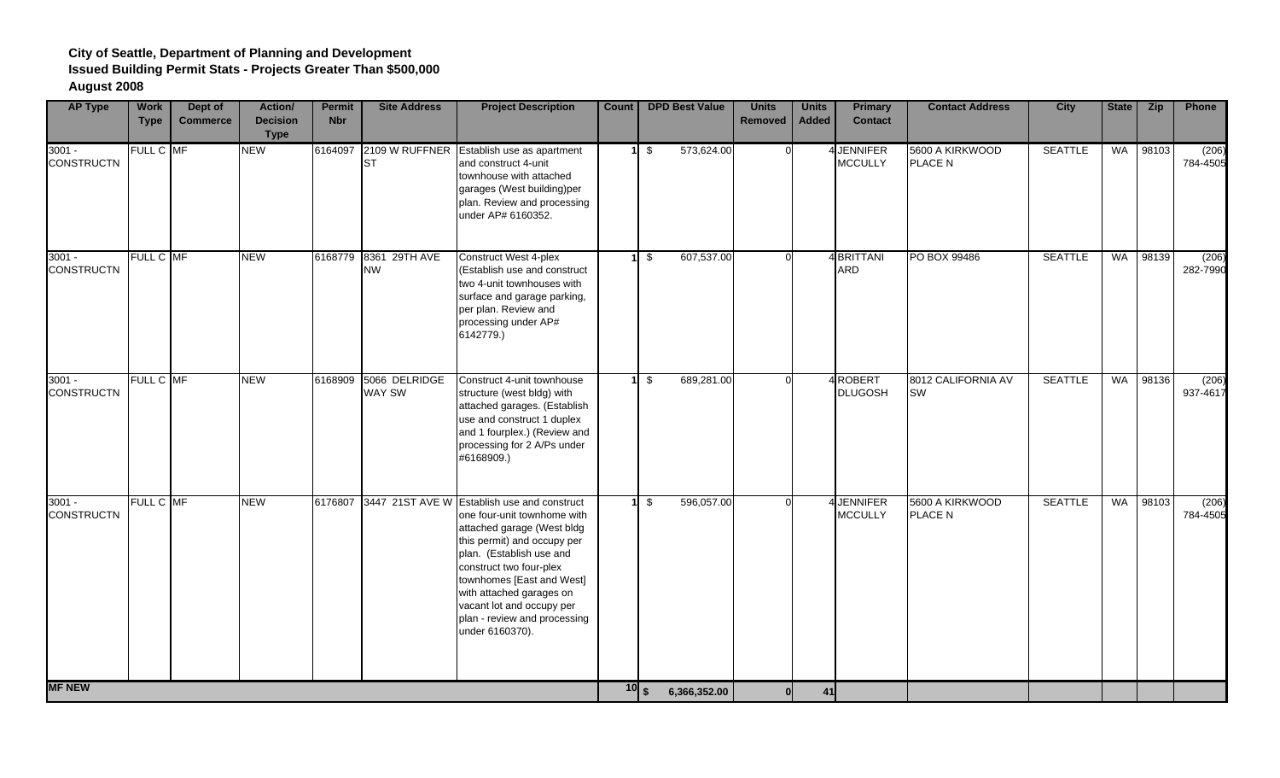| <b>AP Type</b>                | <b>Work</b><br><b>Type</b> | Dept of<br><b>Commerce</b> | <b>Action/</b><br><b>Decision</b><br><b>Type</b> | <b>Permit</b><br><b>Nbr</b> | <b>Site Address</b>                    | <b>Project Description</b>                                                                                                                                                                                                                                                                                                                      | <b>Count</b> |                   | <b>DPD Best Value</b> | <b>Units</b><br><b>Removed</b> | <b>Units</b><br><b>Added</b> | <b>Primary</b><br><b>Contact</b> | <b>Contact Address</b>          | <b>City</b>    | <b>State</b> | <b>Zip</b> | Phone             |
|-------------------------------|----------------------------|----------------------------|--------------------------------------------------|-----------------------------|----------------------------------------|-------------------------------------------------------------------------------------------------------------------------------------------------------------------------------------------------------------------------------------------------------------------------------------------------------------------------------------------------|--------------|-------------------|-----------------------|--------------------------------|------------------------------|----------------------------------|---------------------------------|----------------|--------------|------------|-------------------|
| $3001 -$<br><b>CONSTRUCTN</b> | FULL C MF                  |                            | <b>NEW</b>                                       | 6164097                     | <b>ST</b>                              | 2109 W RUFFNER Establish use as apartment<br>and construct 4-unit<br>townhouse with attached<br>garages (West building)per<br>plan. Review and processing<br>under AP# 6160352.                                                                                                                                                                 |              | $1 \quad$ \$      | 573,624.00            |                                |                              | 4 JENNIFER<br><b>MCCULLY</b>     | 5600 A KIRKWOOD<br>PLACE N      | <b>SEATTLE</b> | WA           | 98103      | (206)<br>784-4505 |
| $3001 -$<br><b>CONSTRUCTN</b> | FULL C MF                  |                            | <b>NEW</b>                                       |                             | 6168779 8361 29TH AVE<br><b>NW</b>     | <b>Construct West 4-plex</b><br>(Establish use and construct<br>two 4-unit townhouses with<br>surface and garage parking,<br>per plan. Review and<br>processing under AP#<br>6142779.)                                                                                                                                                          |              | $1 \sqrt$         | 607,537.00            |                                |                              | 4 BRITTANI<br><b>ARD</b>         | PO BOX 99486                    | <b>SEATTLE</b> | <b>WA</b>    | 98139      | (206)<br>282-7990 |
| $3001 -$<br><b>CONSTRUCTN</b> | FULL C MF                  |                            | <b>NEW</b>                                       |                             | 6168909 5066 DELRIDGE<br><b>WAY SW</b> | Construct 4-unit townhouse<br>structure (west bldg) with<br>attached garages. (Establish<br>use and construct 1 duplex<br>and 1 fourplex.) (Review and<br>processing for 2 A/Ps under<br>#6168909.)                                                                                                                                             |              | $1 \sqrt{3}$      | 689,281.00            |                                |                              | 4 ROBERT<br><b>DLUGOSH</b>       | 8012 CALIFORNIA AV<br><b>SW</b> | <b>SEATTLE</b> |              | WA 98136   | (206)<br>937-4617 |
| $3001 -$<br><b>CONSTRUCTN</b> | FULL C MF                  |                            | <b>NEW</b>                                       |                             |                                        | 6176807 3447 21ST AVE W Establish use and construct<br>one four-unit townhome with<br>attached garage (West bldg<br>this permit) and occupy per<br>plan. (Establish use and<br>construct two four-plex<br>townhomes [East and West]<br>with attached garages on<br>vacant lot and occupy per<br>plan - review and processing<br>under 6160370). |              | \$                | 596,057.00            |                                |                              | 4 JENNIFER<br><b>MCCULLY</b>     | 5600 A KIRKWOOD<br>PLACE N      | <b>SEATTLE</b> | <b>WA</b>    | 98103      | (206)<br>784-4505 |
| <b>MF NEW</b>                 |                            |                            |                                                  |                             |                                        |                                                                                                                                                                                                                                                                                                                                                 |              | $\overline{10}$ s | 6,366,352.00          |                                | 41                           |                                  |                                 |                |              |            |                   |